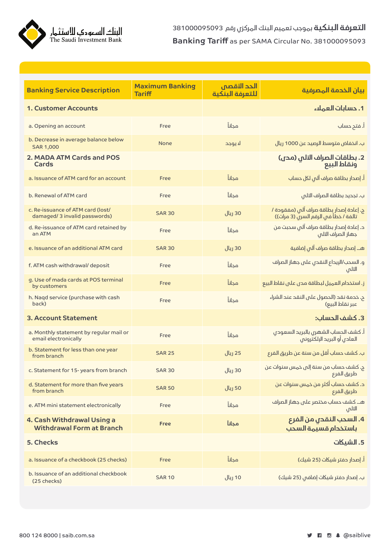

| <b>Banking Service Description</b>                                 | <b>Maximum Banking</b><br><b>Tariff</b> | الحد الأقصص<br>للتعرفة البنكبة | بيان الخدمة المصرفية                                                             |
|--------------------------------------------------------------------|-----------------------------------------|--------------------------------|----------------------------------------------------------------------------------|
| 1. Customer Accounts                                               |                                         |                                | 1. حسابات العملاء                                                                |
| a. Opening an account                                              | Free                                    | مجانآ                          | أ. فتح حساب                                                                      |
| b. Decrease in average balance below<br><b>SAR 1,000</b>           | None                                    | لا يوجد                        | ب. انخفاض متوسط الرصيد عن 1000 ريال                                              |
| 2. MADA ATM Cards and POS<br>Cards                                 |                                         |                                | 2. بطاقات الصراف الآلي (مح <sub>ل</sub> )<br>ونقاط البيع                         |
| a. Issuance of ATM card for an account                             | Free                                    | مجاناً                         | أ. إصدار بطاقة صراف آلى لكل حساب                                                 |
| b. Renewal of ATM card                                             | Free                                    | مجاناً                         | ب. تجديد بطاقة الصراف التلم                                                      |
| c. Re-issuance of ATM card (lost/<br>damaged/ 3 invalid passwords) | <b>SAR 30</b>                           | 30 ريال                        | ج. إعادة إصدار بطاقة صراف آلبي (مفقودة /<br>تالفة / خطأ في الرقم السرن (3 مرات)) |
| d. Re-issuance of ATM card retained by<br>an ATM                   | Free                                    | مجانآ                          | د. إعادة إصدار بطاقة صراف آلم سحبت من<br>جهاز الصراف التلم                       |
| e. Issuance of an additional ATM card                              | <b>SAR 30</b>                           | 30 ريال                        | هــ. إصدار بطاقة صراف آلـ إضافية                                                 |
| f. ATM cash withdrawal/ deposit                                    | Free                                    | مجانآ                          | و. السحب/الإيداع النقدي على جهاز الصراف<br>التلص                                 |
| g. Use of mada cards at POS terminal<br>by customers               | Free                                    | مجانآ                          | ز. استخدام العميل لبطاقة مدى على نقاط البيع                                      |
| h. Naqd service (purchase with cash<br>back)                       | Free                                    | مجانآ                          | ح. خدمة نقد (الحصول على النقد عند الشراء<br>عبر نقاط البيع)                      |
| <b>3. Account Statement</b>                                        |                                         |                                | 3. كشف الحساب:                                                                   |
| a. Monthly statement by regular mail or<br>email electronically    | Free                                    | مجاناً                         | أ. كشف الحساب الشهرى بالبريد السعودى<br>العادى أو البريد الإلكترونم              |
| b. Statement for less than one year<br>from branch                 | <b>SAR 25</b>                           | 25 ريال                        | ب. كشف حساب أقل من سنة عن طريق الفرع                                             |
| c. Statement for 15-years from branch                              | <b>SAR 30</b>                           | 30 ريال                        | ج. كشف حساب من سنة إلى خمس سنوات عن<br>طريق الفرع                                |
| d. Statement for more than five years<br>from branch               | <b>SAR 50</b>                           | 50 ريال                        | د. كشف حساب أكثر من خمس سنوات عن<br>طريق الفرع                                   |
| e. ATM mini statement electronically                               | Free                                    | مجاناً                         | هـ. كشف حساب مختصر على جهاز الصراف<br>التلم                                      |
| 4. Cash Withdrawal Using a<br><b>Withdrawal Form at Branch</b>     | Free                                    | مجانآ                          | 4. السحب النقدى من الفرع<br>باستخدام قسيهة السحب                                 |
| 5. Checks                                                          |                                         |                                | 5. الشيكات                                                                       |
| a. Issuance of a checkbook (25 checks)                             | Free                                    | مجاناً                         | أ. إصدار دفتر شيكات (25 شيك)                                                     |
| b. Issuance of an additional checkbook<br>(25 checks)              | <b>SAR 10</b>                           | 10 ريال                        | ب. إصدار دفتر شيكات إضافم (25 شيك)                                               |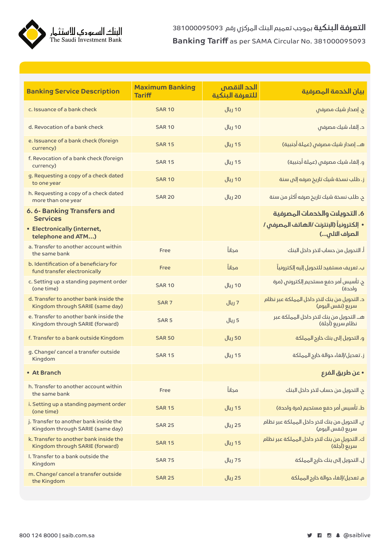**التعرفة البنكية** بموجب تعميم البنك المركزي رقم 381000095093 Banking Tariff as per SAMA Circular No. 381000095093



| <b>Banking Service Description</b>                                         | <b>Maximum Banking</b><br><b>Tariff</b> | الحد الأقصص<br>للتعرفة البنكية | بيان الخدمة الهصرفية                                             |
|----------------------------------------------------------------------------|-----------------------------------------|--------------------------------|------------------------------------------------------------------|
| c. Issuance of a bank check                                                | <b>SAR 10</b>                           | 10 ريال                        | ج. إصدار شيك مصرفص                                               |
| d. Revocation of a bank check                                              | <b>SAR 10</b>                           | 10 ريال                        | د. إلغاء شيك مصرفم                                               |
| e. Issuance of a bank check (foreign<br>currency)                          | <b>SAR 15</b>                           | 15 ريال                        | هـ. إصدار شيك مصرفس (عملة أجنبية)                                |
| f. Revocation of a bank check (foreign<br>currency)                        | <b>SAR 15</b>                           | 15 ريال                        | و. إلغاء شيك مصرفم (عملة أجنبية)                                 |
| g. Requesting a copy of a check dated<br>to one year                       | <b>SAR 10</b>                           | 10 ريال                        | ز. طلب نسخة شيك تاريخ صرفه إلى سنة                               |
| h. Requesting a copy of a check dated<br>more than one year                | <b>SAR 20</b>                           | 20 ريال                        | ح. طلب نسخة شيك تاريخ صرفه أكثر من سنة                           |
| 6.6-Banking Transfers and<br><b>Services</b>                               |                                         |                                | 6. التحويلات والخدمات المصرفية                                   |
| • Electronically (internet,<br>telephone and ATM)                          |                                         |                                | • إلكترونياً (الإنترنت /الهاتف المصرفم /<br>الصراف التلم)        |
| a. Transfer to another account within<br>the same bank                     | Free                                    | مجاناً                         | أ. التحويل من حساب لآخر داخل البنك                               |
| b. Identification of a beneficiary for<br>fund transfer electronically     | Free                                    | محانآ                          | ب. تعريف مستفيد للتحويل إليه إلكترونياً                          |
| c. Setting up a standing payment order<br>(one time)                       | <b>SAR 10</b>                           | 10 ريال                        | ج. تأسيس أمر حفع مستحيم إلكتروني (مرة<br>واحدة)                  |
| d. Transfer to another bank inside the<br>Kingdom through SARIE (same day) | SAR <sub>7</sub>                        | 7 ريال                         | د. التحويل من بنك لتخر داخل المملكة عبر نظام<br>سريع (نفس اليوم) |
| e. Transfer to another bank inside the<br>Kingdom through SARIE (forward)  | SAR <sub>5</sub>                        | 5 ريال                         | هـ. التحويل من بنك لتخر داخل المملكة عبر<br>نظام سريع (آجلة)     |
| f. Transfer to a bank outside Kingdom                                      | <b>SAR 50</b>                           | 50 ريال                        | و. التحويل إلى بنك خارج المملكة                                  |
| g. Change/ cancel a transfer outside<br>Kingdom                            | <b>SAR 15</b>                           | 15 ريال                        | ز. تعديل/إلغاء حوالة خارج المملكة                                |
| • At Branch                                                                |                                         |                                | • عن طريق الفرع                                                  |
| h. Transfer to another account within<br>the same bank                     | Free                                    | مجاناً                         | ح. التحويل من حساب لتخر داخل البنك                               |
| i. Setting up a standing payment order<br>(one time)                       | <b>SAR 15</b>                           | 15 ريال                        | ط. تأسيس أمر حفع مستحيم (مرة واححة)                              |
| j. Transfer to another bank inside the<br>Kingdom through SARIE (same day) | <b>SAR 25</b>                           | 25 ريال                        | ى. التحويل من بنك لتخر داخل المملكة عبر نظام<br>سريع (نفس اليوم) |
| k. Transfer to another bank inside the<br>Kingdom through SARIE (forward)  | <b>SAR 15</b>                           | 15 ريال                        | ك. التحويل من بنك لتخر داخل المملكة عبر نظام<br>سريع (آجلة)      |
| I. Transfer to a bank outside the<br>Kingdom                               | <b>SAR 75</b>                           | 75 ريال                        | ل. التحويل إلى بنك خارج المملكة                                  |
| m. Change/ cancel a transfer outside<br>the Kingdom                        | <b>SAR 25</b>                           | 25 ريال                        | م. تعديل/إلغاء حوالة خارج المملكة                                |